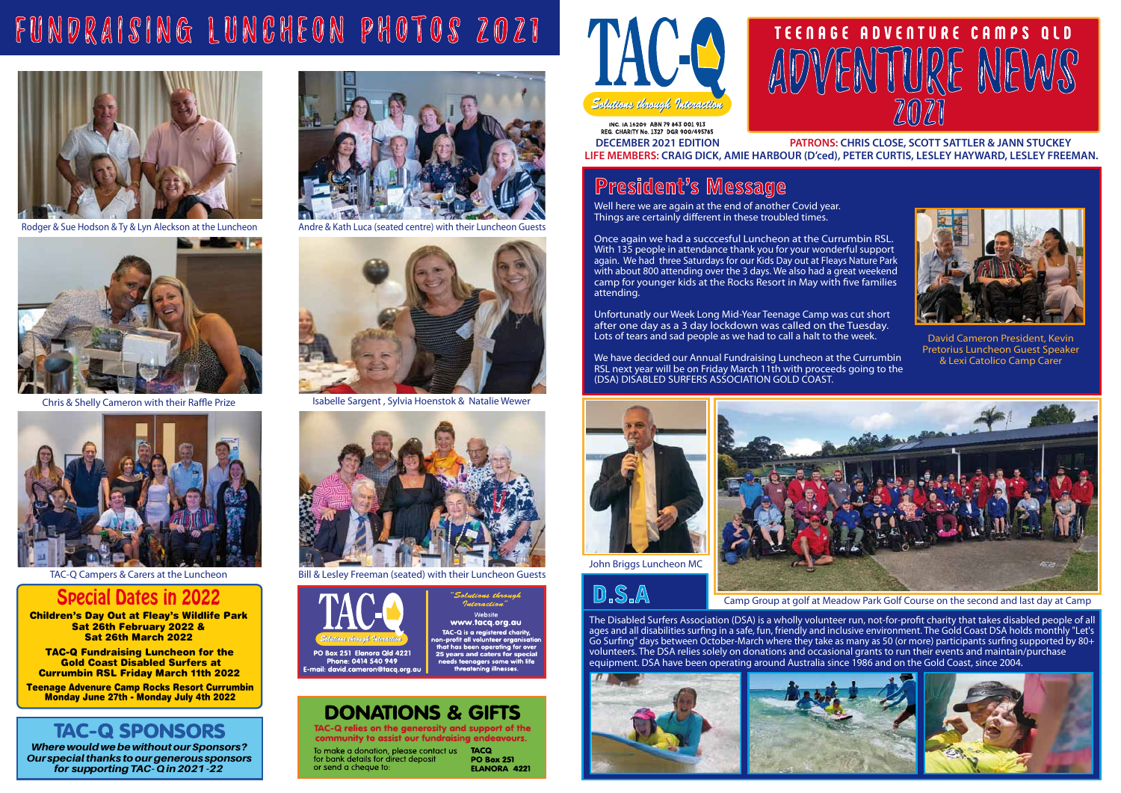Children's Day Out at Fleay's Wildlife Park Sat 26th February 2022 & Sat 26th March 2022

**TAC-Q Fundraising Luncheon for the 25 Years 25 Years and Conserver Conservation Conservation Conservation Conservation Conservation Conservation Conservation Conservation Conservation Conservation Conservation Conservatio**  Gold Coast Disabled Surfers at Currumbin RSL Friday March 11th 2022

*Where would we be without ourSponsors? Our special thanks to our generous sponsors for supporting TAC- Q in2021 -22*

INC. IA 16209 ABN 79 843 001 913 REG. CHARITY No. 1327 DGR 900/495785 **DECEMBER 2021 EDITION PATRONS: CHRIS CLOSE, SCOTT SATTLER & JANN STUCKEY LIFE MEMBERS: CRAIG DICK, AMIE HARBOUR (D'ced), PETER CURTIS, LESLEY HAYWARD, LESLEY FREEMAN.**

Well here we are again at the end of another Covid year. Things are certainly different in these troubled times.

Teenage Advenure Camp Rocks Resort Currumbin Monday June 27th - Monday July 4th 2022

## **TAC-Q SPONSORS**

## Special Dates in 2022

Unfortunatly our Week Long Mid-Year Teenage Camp was cut short after one day as a 3 day lockdown was called on the Tuesday. Lots of tears and sad people as we had to call a halt to the week.



Once again we had a succcesful Luncheon at the Currumbin RSL. With 135 people in attendance thank you for your wonderful support again. We had three Saturdays for our Kids Day out at Fleays Nature Park with about 800 attending over the 3 days. We also had a great weekend camp for younger kids at the Rocks Resort in May with five families attending.

The Disabled Surfers Association (DSA) is a wholly volunteer run, not-for-profit charity that takes disabled people of all ages and all disabilities surfing in a safe, fun, friendly and inclusive environment. The Gold Coast DSA holds monthly "Let's Go Surfing" days between October-March where they take as many as 50 (or more) participants surfing supported by 80+ volunteers. The DSA relies solely on donations and occasional grants to run their events and maintain/purchase equipment. DSA have been operating around Australia since 1986 and on the Gold Coast, since 2004.



We have decided our Annual Fundraising Luncheon at the Currumbin RSL next year will be on Friday March 11th with proceeds going to the (DSA) DISABLED SURFERS ASSOCIATION GOLD COAST.



 David Cameron President, Kevin Pretorius Luncheon Guest Speaker & Lexi Catolico Camp Carer

## President's Message





Camp Group at golf at Meadow Park Golf Course on the second and last day at Camp





## D.S.A



Andre & Kath Luca (seated centre) with their Luncheon Guests



Isabelle Sargent , Sylvia Hoenstok & Natalie Wewer



TAC-Q Campers & Carers at the Luncheon Bill & Lesley Freeman (seated) with their Luncheon Guests



www.taca.ora.au TAC-Q is a registered charity,<br>n-profit all volunteer organisa

aus thoanal

## **DONATIONS & GIFTS**

TAC-Q relies on the generosity and support of the<br>community to assist our fundraising endeavours.

To make a donation, please contact us TACQ for bank details for direct deposit or send a cheque to:



**PO Box 251 ELANORA 4221** 



## FUNDRAISING LUNCHEON PHOTOS ZOZI



Rodger & Sue Hodson & Ty & Lyn Aleckson at the Luncheon



Chris & Shelly Cameron with their Raffle Prize